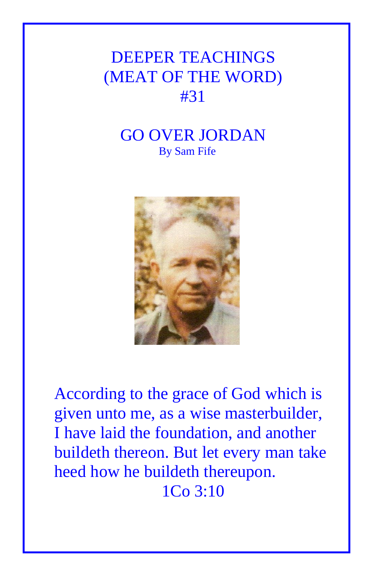## DEEPER TEACHINGS (MEAT OF THE WORD) #31

## GO OVER JORDAN By Sam Fife



According to the grace of God which is given unto me, as a wise masterbuilder, I have laid the foundation, and another buildeth thereon. But let every man take heed how he buildeth thereupon. 1Co 3:10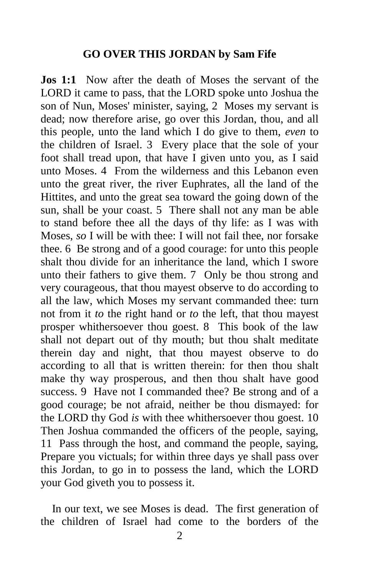## **GO OVER THIS JORDAN by Sam Fife**

**Jos 1:1** Now after the death of Moses the servant of the LORD it came to pass, that the LORD spoke unto Joshua the son of Nun, Moses' minister, saying, 2 Moses my servant is dead; now therefore arise, go over this Jordan, thou, and all this people, unto the land which I do give to them, *even* to the children of Israel. 3 Every place that the sole of your foot shall tread upon, that have I given unto you, as I said unto Moses. 4 From the wilderness and this Lebanon even unto the great river, the river Euphrates, all the land of the Hittites, and unto the great sea toward the going down of the sun, shall be your coast. 5 There shall not any man be able to stand before thee all the days of thy life: as I was with Moses, *so* I will be with thee: I will not fail thee, nor forsake thee. 6 Be strong and of a good courage: for unto this people shalt thou divide for an inheritance the land, which I swore unto their fathers to give them. 7 Only be thou strong and very courageous, that thou mayest observe to do according to all the law, which Moses my servant commanded thee: turn not from it *to* the right hand or *to* the left, that thou mayest prosper whithersoever thou goest. 8 This book of the law shall not depart out of thy mouth; but thou shalt meditate therein day and night, that thou mayest observe to do according to all that is written therein: for then thou shalt make thy way prosperous, and then thou shalt have good success. 9 Have not I commanded thee? Be strong and of a good courage; be not afraid, neither be thou dismayed: for the LORD thy God *is* with thee whithersoever thou goest. 10 Then Joshua commanded the officers of the people, saying, 11 Pass through the host, and command the people, saying, Prepare you victuals; for within three days ye shall pass over this Jordan, to go in to possess the land, which the LORD your God giveth you to possess it.

 In our text, we see Moses is dead. The first generation of the children of Israel had come to the borders of the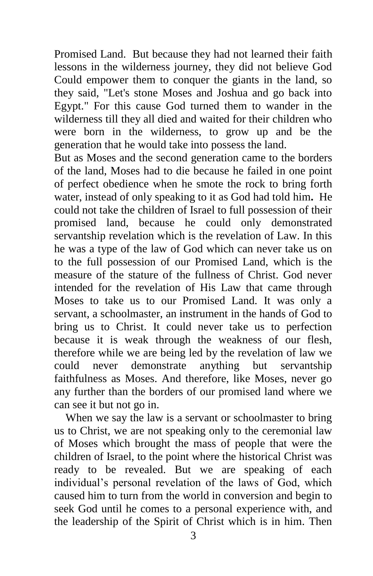Promised Land. But because they had not learned their faith lessons in the wilderness journey, they did not believe God Could empower them to conquer the giants in the land, so they said, "Let's stone Moses and Joshua and go back into Egypt." For this cause God turned them to wander in the wilderness till they all died and waited for their children who were born in the wilderness, to grow up and be the generation that he would take into possess the land.

But as Moses and the second generation came to the borders of the land, Moses had to die because he failed in one point of perfect obedience when he smote the rock to bring forth water, instead of only speaking to it as God had told him**.** He could not take the children of Israel to full possession of their promised land, because he could only demonstrated servantship revelation which is the revelation of Law. In this he was a type of the law of God which can never take us on to the full possession of our Promised Land, which is the measure of the stature of the fullness of Christ. God never intended for the revelation of His Law that came through Moses to take us to our Promised Land. It was only a servant, a schoolmaster, an instrument in the hands of God to bring us to Christ. It could never take us to perfection because it is weak through the weakness of our flesh, therefore while we are being led by the revelation of law we could never demonstrate anything but servantship faithfulness as Moses. And therefore, like Moses, never go any further than the borders of our promised land where we can see it but not go in.

 When we say the law is a servant or schoolmaster to bring us to Christ, we are not speaking only to the ceremonial law of Moses which brought the mass of people that were the children of Israel, to the point where the historical Christ was ready to be revealed. But we are speaking of each individual's personal revelation of the laws of God, which caused him to turn from the world in conversion and begin to seek God until he comes to a personal experience with, and the leadership of the Spirit of Christ which is in him. Then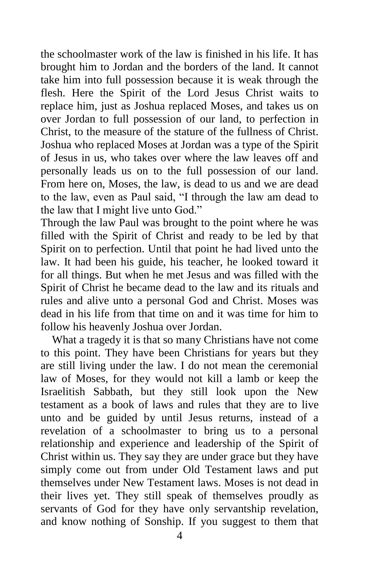the schoolmaster work of the law is finished in his life. It has brought him to Jordan and the borders of the land. It cannot take him into full possession because it is weak through the flesh. Here the Spirit of the Lord Jesus Christ waits to replace him, just as Joshua replaced Moses, and takes us on over Jordan to full possession of our land, to perfection in Christ, to the measure of the stature of the fullness of Christ. Joshua who replaced Moses at Jordan was a type of the Spirit of Jesus in us, who takes over where the law leaves off and personally leads us on to the full possession of our land. From here on, Moses, the law, is dead to us and we are dead to the law, even as Paul said, "I through the law am dead to the law that I might live unto God."

Through the law Paul was brought to the point where he was filled with the Spirit of Christ and ready to be led by that Spirit on to perfection. Until that point he had lived unto the law. It had been his guide, his teacher, he looked toward it for all things. But when he met Jesus and was filled with the Spirit of Christ he became dead to the law and its rituals and rules and alive unto a personal God and Christ. Moses was dead in his life from that time on and it was time for him to follow his heavenly Joshua over Jordan.

 What a tragedy it is that so many Christians have not come to this point. They have been Christians for years but they are still living under the law. I do not mean the ceremonial law of Moses, for they would not kill a lamb or keep the Israelitish Sabbath, but they still look upon the New testament as a book of laws and rules that they are to live unto and be guided by until Jesus returns, instead of a revelation of a schoolmaster to bring us to a personal relationship and experience and leadership of the Spirit of Christ within us. They say they are under grace but they have simply come out from under Old Testament laws and put themselves under New Testament laws. Moses is not dead in their lives yet. They still speak of themselves proudly as servants of God for they have only servantship revelation, and know nothing of Sonship. If you suggest to them that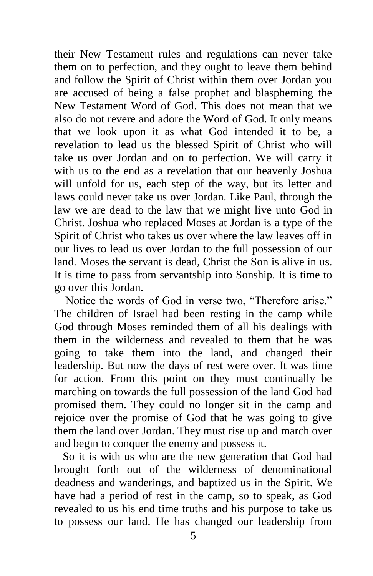their New Testament rules and regulations can never take them on to perfection, and they ought to leave them behind and follow the Spirit of Christ within them over Jordan you are accused of being a false prophet and blaspheming the New Testament Word of God. This does not mean that we also do not revere and adore the Word of God. It only means that we look upon it as what God intended it to be, a revelation to lead us the blessed Spirit of Christ who will take us over Jordan and on to perfection. We will carry it with us to the end as a revelation that our heavenly Joshua will unfold for us, each step of the way, but its letter and laws could never take us over Jordan. Like Paul, through the law we are dead to the law that we might live unto God in Christ. Joshua who replaced Moses at Jordan is a type of the Spirit of Christ who takes us over where the law leaves off in our lives to lead us over Jordan to the full possession of our land. Moses the servant is dead, Christ the Son is alive in us. It is time to pass from servantship into Sonship. It is time to go over this Jordan.

 Notice the words of God in verse two, "Therefore arise." The children of Israel had been resting in the camp while God through Moses reminded them of all his dealings with them in the wilderness and revealed to them that he was going to take them into the land, and changed their leadership. But now the days of rest were over. It was time for action. From this point on they must continually be marching on towards the full possession of the land God had promised them. They could no longer sit in the camp and rejoice over the promise of God that he was going to give them the land over Jordan. They must rise up and march over and begin to conquer the enemy and possess it.

 So it is with us who are the new generation that God had brought forth out of the wilderness of denominational deadness and wanderings, and baptized us in the Spirit. We have had a period of rest in the camp, so to speak, as God revealed to us his end time truths and his purpose to take us to possess our land. He has changed our leadership from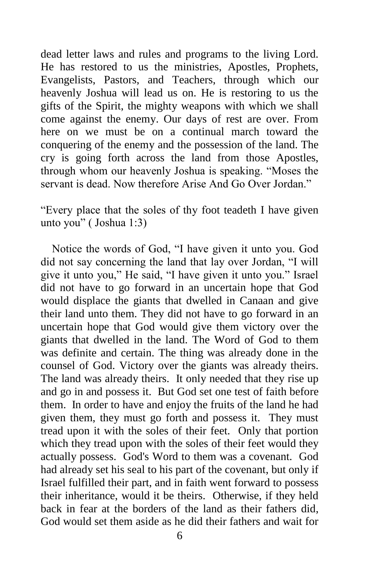dead letter laws and rules and programs to the living Lord. He has restored to us the ministries, Apostles, Prophets, Evangelists, Pastors, and Teachers, through which our heavenly Joshua will lead us on. He is restoring to us the gifts of the Spirit, the mighty weapons with which we shall come against the enemy. Our days of rest are over. From here on we must be on a continual march toward the conquering of the enemy and the possession of the land. The cry is going forth across the land from those Apostles, through whom our heavenly Joshua is speaking. "Moses the servant is dead. Now therefore Arise And Go Over Jordan."

"Every place that the soles of thy foot teadeth I have given unto you" ( Joshua 1:3)

 Notice the words of God, "I have given it unto you. God did not say concerning the land that lay over Jordan, "I will give it unto you," He said, "I have given it unto you." Israel did not have to go forward in an uncertain hope that God would displace the giants that dwelled in Canaan and give their land unto them. They did not have to go forward in an uncertain hope that God would give them victory over the giants that dwelled in the land. The Word of God to them was definite and certain. The thing was already done in the counsel of God. Victory over the giants was already theirs. The land was already theirs. It only needed that they rise up and go in and possess it. But God set one test of faith before them. In order to have and enjoy the fruits of the land he had given them, they must go forth and possess it. They must tread upon it with the soles of their feet. Only that portion which they tread upon with the soles of their feet would they actually possess. God's Word to them was a covenant. God had already set his seal to his part of the covenant, but only if Israel fulfilled their part, and in faith went forward to possess their inheritance, would it be theirs. Otherwise, if they held back in fear at the borders of the land as their fathers did, God would set them aside as he did their fathers and wait for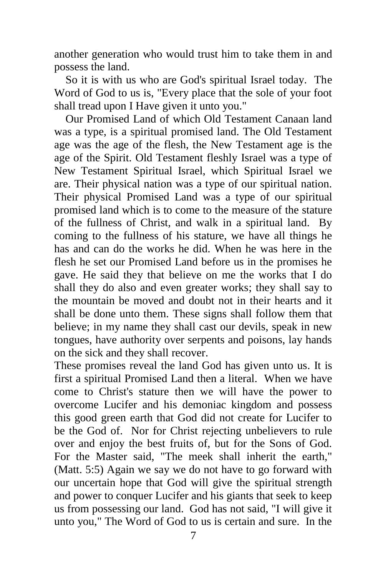another generation who would trust him to take them in and possess the land.

 So it is with us who are God's spiritual Israel today. The Word of God to us is, "Every place that the sole of your foot shall tread upon I Have given it unto you."

 Our Promised Land of which Old Testament Canaan land was a type, is a spiritual promised land. The Old Testament age was the age of the flesh, the New Testament age is the age of the Spirit. Old Testament fleshly Israel was a type of New Testament Spiritual Israel, which Spiritual Israel we are. Their physical nation was a type of our spiritual nation. Their physical Promised Land was a type of our spiritual promised land which is to come to the measure of the stature of the fullness of Christ, and walk in a spiritual land. By coming to the fullness of his stature, we have all things he has and can do the works he did. When he was here in the flesh he set our Promised Land before us in the promises he gave. He said they that believe on me the works that I do shall they do also and even greater works; they shall say to the mountain be moved and doubt not in their hearts and it shall be done unto them. These signs shall follow them that believe; in my name they shall cast our devils, speak in new tongues, have authority over serpents and poisons, lay hands on the sick and they shall recover.

These promises reveal the land God has given unto us. It is first a spiritual Promised Land then a literal. When we have come to Christ's stature then we will have the power to overcome Lucifer and his demoniac kingdom and possess this good green earth that God did not create for Lucifer to be the God of. Nor for Christ rejecting unbelievers to rule over and enjoy the best fruits of, but for the Sons of God. For the Master said, "The meek shall inherit the earth," (Matt. 5:5) Again we say we do not have to go forward with our uncertain hope that God will give the spiritual strength and power to conquer Lucifer and his giants that seek to keep us from possessing our land. God has not said, "I will give it unto you," The Word of God to us is certain and sure. In the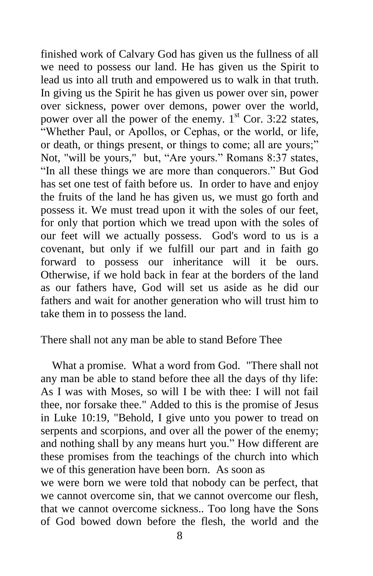finished work of Calvary God has given us the fullness of all we need to possess our land. He has given us the Spirit to lead us into all truth and empowered us to walk in that truth. In giving us the Spirit he has given us power over sin, power over sickness, power over demons, power over the world, power over all the power of the enemy.  $1<sup>st</sup>$  Cor. 3:22 states, "Whether Paul, or Apollos, or Cephas, or the world, or life, or death, or things present, or things to come; all are yours;" Not, "will be yours," but, "Are yours." Romans 8:37 states, "In all these things we are more than conquerors." But God has set one test of faith before us. In order to have and enjoy the fruits of the land he has given us, we must go forth and possess it. We must tread upon it with the soles of our feet, for only that portion which we tread upon with the soles of our feet will we actually possess. God's word to us is a covenant, but only if we fulfill our part and in faith go forward to possess our inheritance will it be ours. Otherwise, if we hold back in fear at the borders of the land as our fathers have, God will set us aside as he did our fathers and wait for another generation who will trust him to take them in to possess the land.

There shall not any man be able to stand Before Thee

 What a promise. What a word from God. "There shall not any man be able to stand before thee all the days of thy life: As I was with Moses, so will I be with thee: I will not fail thee, nor forsake thee." Added to this is the promise of Jesus in Luke 10:19, "Behold, I give unto you power to tread on serpents and scorpions, and over all the power of the enemy; and nothing shall by any means hurt you." How different are these promises from the teachings of the church into which we of this generation have been born. As soon as

we were born we were told that nobody can be perfect, that we cannot overcome sin, that we cannot overcome our flesh, that we cannot overcome sickness.. Too long have the Sons of God bowed down before the flesh, the world and the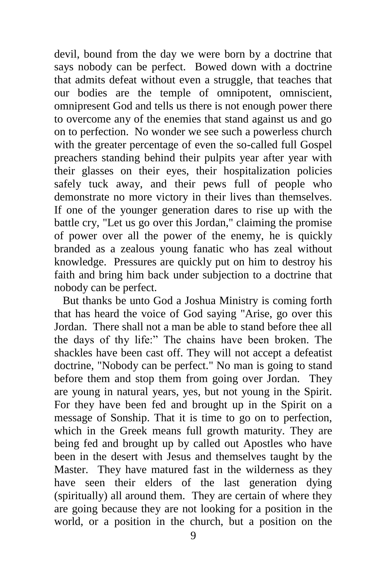devil, bound from the day we were born by a doctrine that says nobody can be perfect. Bowed down with a doctrine that admits defeat without even a struggle, that teaches that our bodies are the temple of omnipotent, omniscient, omnipresent God and tells us there is not enough power there to overcome any of the enemies that stand against us and go on to perfection. No wonder we see such a powerless church with the greater percentage of even the so-called full Gospel preachers standing behind their pulpits year after year with their glasses on their eyes, their hospitalization policies safely tuck away, and their pews full of people who demonstrate no more victory in their lives than themselves. If one of the younger generation dares to rise up with the battle cry, "Let us go over this Jordan," claiming the promise of power over all the power of the enemy, he is quickly branded as a zealous young fanatic who has zeal without knowledge. Pressures are quickly put on him to destroy his faith and bring him back under subjection to a doctrine that nobody can be perfect.

 But thanks be unto God a Joshua Ministry is coming forth that has heard the voice of God saying "Arise, go over this Jordan. There shall not a man be able to stand before thee all the days of thy life:" The chains have been broken. The shackles have been cast off. They will not accept a defeatist doctrine, "Nobody can be perfect." No man is going to stand before them and stop them from going over Jordan. They are young in natural years, yes, but not young in the Spirit. For they have been fed and brought up in the Spirit on a message of Sonship. That it is time to go on to perfection, which in the Greek means full growth maturity. They are being fed and brought up by called out Apostles who have been in the desert with Jesus and themselves taught by the Master. They have matured fast in the wilderness as they have seen their elders of the last generation dying (spiritually) all around them. They are certain of where they are going because they are not looking for a position in the world, or a position in the church, but a position on the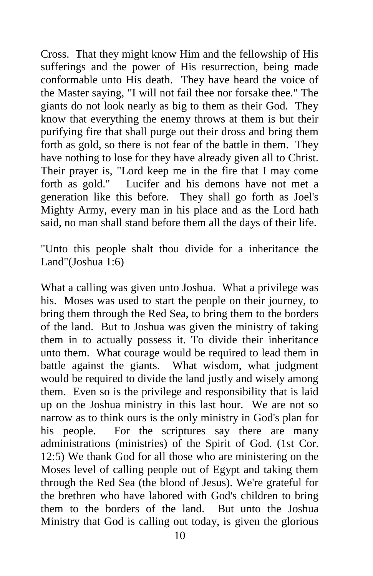Cross. That they might know Him and the fellowship of His sufferings and the power of His resurrection, being made conformable unto His death. They have heard the voice of the Master saying, "I will not fail thee nor forsake thee." The giants do not look nearly as big to them as their God. They know that everything the enemy throws at them is but their purifying fire that shall purge out their dross and bring them forth as gold, so there is not fear of the battle in them. They have nothing to lose for they have already given all to Christ. Their prayer is, "Lord keep me in the fire that I may come forth as gold." Lucifer and his demons have not met a generation like this before. They shall go forth as Joel's Mighty Army, every man in his place and as the Lord hath said, no man shall stand before them all the days of their life.

"Unto this people shalt thou divide for a inheritance the Land"(Joshua 1:6)

What a calling was given unto Joshua. What a privilege was his. Moses was used to start the people on their journey, to bring them through the Red Sea, to bring them to the borders of the land. But to Joshua was given the ministry of taking them in to actually possess it. To divide their inheritance unto them. What courage would be required to lead them in battle against the giants. What wisdom, what judgment would be required to divide the land justly and wisely among them. Even so is the privilege and responsibility that is laid up on the Joshua ministry in this last hour. We are not so narrow as to think ours is the only ministry in God's plan for his people. For the scriptures say there are many administrations (ministries) of the Spirit of God. (1st Cor. 12:5) We thank God for all those who are ministering on the Moses level of calling people out of Egypt and taking them through the Red Sea (the blood of Jesus). We're grateful for the brethren who have labored with God's children to bring them to the borders of the land. But unto the Joshua Ministry that God is calling out today, is given the glorious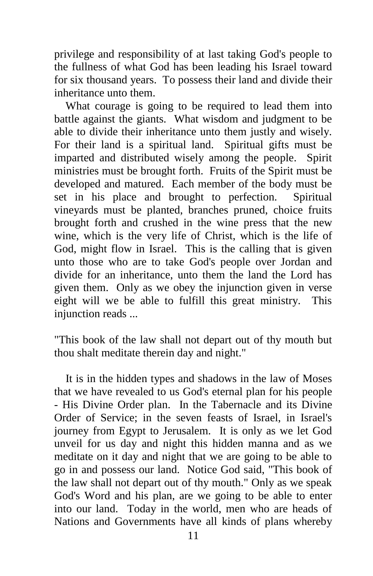privilege and responsibility of at last taking God's people to the fullness of what God has been leading his Israel toward for six thousand years. To possess their land and divide their inheritance unto them.

 What courage is going to be required to lead them into battle against the giants. What wisdom and judgment to be able to divide their inheritance unto them justly and wisely. For their land is a spiritual land. Spiritual gifts must be imparted and distributed wisely among the people. Spirit ministries must be brought forth. Fruits of the Spirit must be developed and matured. Each member of the body must be set in his place and brought to perfection. Spiritual vineyards must be planted, branches pruned, choice fruits brought forth and crushed in the wine press that the new wine, which is the very life of Christ, which is the life of God, might flow in Israel. This is the calling that is given unto those who are to take God's people over Jordan and divide for an inheritance, unto them the land the Lord has given them. Only as we obey the injunction given in verse eight will we be able to fulfill this great ministry. This injunction reads ...

"This book of the law shall not depart out of thy mouth but thou shalt meditate therein day and night."

 It is in the hidden types and shadows in the law of Moses that we have revealed to us God's eternal plan for his people - His Divine Order plan. In the Tabernacle and its Divine Order of Service; in the seven feasts of Israel, in Israel's journey from Egypt to Jerusalem. It is only as we let God unveil for us day and night this hidden manna and as we meditate on it day and night that we are going to be able to go in and possess our land. Notice God said, "This book of the law shall not depart out of thy mouth." Only as we speak God's Word and his plan, are we going to be able to enter into our land. Today in the world, men who are heads of Nations and Governments have all kinds of plans whereby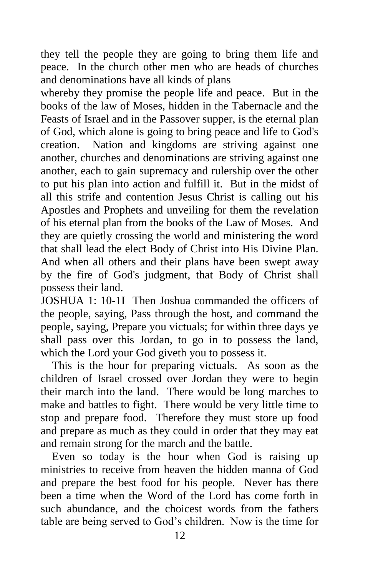they tell the people they are going to bring them life and peace. In the church other men who are heads of churches and denominations have all kinds of plans

whereby they promise the people life and peace. But in the books of the law of Moses, hidden in the Tabernacle and the Feasts of Israel and in the Passover supper, is the eternal plan of God, which alone is going to bring peace and life to God's creation. Nation and kingdoms are striving against one another, churches and denominations are striving against one another, each to gain supremacy and rulership over the other to put his plan into action and fulfill it. But in the midst of all this strife and contention Jesus Christ is calling out his Apostles and Prophets and unveiling for them the revelation of his eternal plan from the books of the Law of Moses. And they are quietly crossing the world and ministering the word that shall lead the elect Body of Christ into His Divine Plan. And when all others and their plans have been swept away by the fire of God's judgment, that Body of Christ shall possess their land.

JOSHUA 1: 10-1I Then Joshua commanded the officers of the people, saying, Pass through the host, and command the people, saying, Prepare you victuals; for within three days ye shall pass over this Jordan, to go in to possess the land, which the Lord your God giveth you to possess it.

 This is the hour for preparing victuals. As soon as the children of Israel crossed over Jordan they were to begin their march into the land. There would be long marches to make and battles to fight. There would be very little time to stop and prepare food. Therefore they must store up food and prepare as much as they could in order that they may eat and remain strong for the march and the battle.

 Even so today is the hour when God is raising up ministries to receive from heaven the hidden manna of God and prepare the best food for his people. Never has there been a time when the Word of the Lord has come forth in such abundance, and the choicest words from the fathers table are being served to God's children. Now is the time for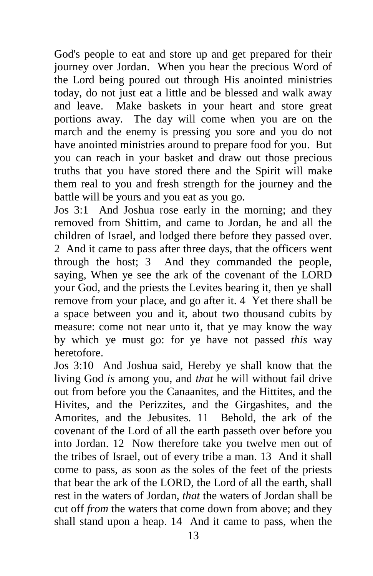God's people to eat and store up and get prepared for their journey over Jordan. When you hear the precious Word of the Lord being poured out through His anointed ministries today, do not just eat a little and be blessed and walk away and leave. Make baskets in your heart and store great portions away. The day will come when you are on the march and the enemy is pressing you sore and you do not have anointed ministries around to prepare food for you. But you can reach in your basket and draw out those precious truths that you have stored there and the Spirit will make them real to you and fresh strength for the journey and the battle will be yours and you eat as you go.

Jos 3:1 And Joshua rose early in the morning; and they removed from Shittim, and came to Jordan, he and all the children of Israel, and lodged there before they passed over. 2 And it came to pass after three days, that the officers went through the host; 3 And they commanded the people, saying, When ye see the ark of the covenant of the LORD your God, and the priests the Levites bearing it, then ye shall remove from your place, and go after it. 4 Yet there shall be a space between you and it, about two thousand cubits by measure: come not near unto it, that ye may know the way by which ye must go: for ye have not passed *this* way heretofore.

Jos 3:10 And Joshua said, Hereby ye shall know that the living God *is* among you, and *that* he will without fail drive out from before you the Canaanites, and the Hittites, and the Hivites, and the Perizzites, and the Girgashites, and the Amorites, and the Jebusites. 11 Behold, the ark of the covenant of the Lord of all the earth passeth over before you into Jordan. 12 Now therefore take you twelve men out of the tribes of Israel, out of every tribe a man. 13 And it shall come to pass, as soon as the soles of the feet of the priests that bear the ark of the LORD, the Lord of all the earth, shall rest in the waters of Jordan, *that* the waters of Jordan shall be cut off *from* the waters that come down from above; and they shall stand upon a heap. 14 And it came to pass, when the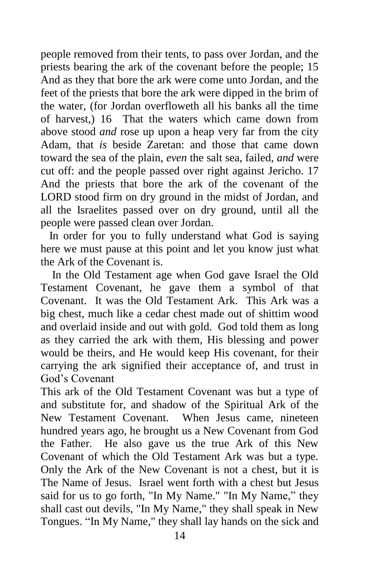people removed from their tents, to pass over Jordan, and the priests bearing the ark of the covenant before the people; 15 And as they that bore the ark were come unto Jordan, and the feet of the priests that bore the ark were dipped in the brim of the water, (for Jordan overfloweth all his banks all the time of harvest,) 16 That the waters which came down from above stood *and* rose up upon a heap very far from the city Adam, that *is* beside Zaretan: and those that came down toward the sea of the plain, *even* the salt sea, failed, *and* were cut off: and the people passed over right against Jericho. 17 And the priests that bore the ark of the covenant of the LORD stood firm on dry ground in the midst of Jordan, and all the Israelites passed over on dry ground, until all the people were passed clean over Jordan.

In order for you to fully understand what God is saying here we must pause at this point and let you know just what the Ark of the Covenant is.

 In the Old Testament age when God gave Israel the Old Testament Covenant, he gave them a symbol of that Covenant. It was the Old Testament Ark. This Ark was a big chest, much like a cedar chest made out of shittim wood and overlaid inside and out with gold. God told them as long as they carried the ark with them, His blessing and power would be theirs, and He would keep His covenant, for their carrying the ark signified their acceptance of, and trust in God's Covenant

This ark of the Old Testament Covenant was but a type of and substitute for, and shadow of the Spiritual Ark of the New Testament Covenant. When Jesus came, nineteen hundred years ago, he brought us a New Covenant from God the Father. He also gave us the true Ark of this New Covenant of which the Old Testament Ark was but a type. Only the Ark of the New Covenant is not a chest, but it is The Name of Jesus. Israel went forth with a chest but Jesus said for us to go forth, "In My Name." "In My Name," they shall cast out devils, "In My Name," they shall speak in New Tongues. "In My Name," they shall lay hands on the sick and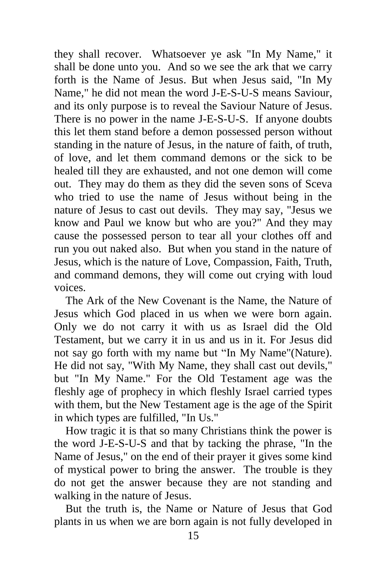they shall recover. Whatsoever ye ask "In My Name," it shall be done unto you. And so we see the ark that we carry forth is the Name of Jesus. But when Jesus said, "In My Name," he did not mean the word J-E-S-U-S means Saviour, and its only purpose is to reveal the Saviour Nature of Jesus. There is no power in the name J-E-S-U-S. If anyone doubts this let them stand before a demon possessed person without standing in the nature of Jesus, in the nature of faith, of truth, of love, and let them command demons or the sick to be healed till they are exhausted, and not one demon will come out. They may do them as they did the seven sons of Sceva who tried to use the name of Jesus without being in the nature of Jesus to cast out devils. They may say, "Jesus we know and Paul we know but who are you?" And they may cause the possessed person to tear all your clothes off and run you out naked also. But when you stand in the nature of Jesus, which is the nature of Love, Compassion, Faith, Truth, and command demons, they will come out crying with loud voices.

 The Ark of the New Covenant is the Name, the Nature of Jesus which God placed in us when we were born again. Only we do not carry it with us as Israel did the Old Testament, but we carry it in us and us in it. For Jesus did not say go forth with my name but "In My Name"(Nature). He did not say, "With My Name, they shall cast out devils," but "In My Name." For the Old Testament age was the fleshly age of prophecy in which fleshly Israel carried types with them, but the New Testament age is the age of the Spirit in which types are fulfilled, "In Us."

 How tragic it is that so many Christians think the power is the word J-E-S-U-S and that by tacking the phrase, "In the Name of Jesus," on the end of their prayer it gives some kind of mystical power to bring the answer. The trouble is they do not get the answer because they are not standing and walking in the nature of Jesus.

 But the truth is, the Name or Nature of Jesus that God plants in us when we are born again is not fully developed in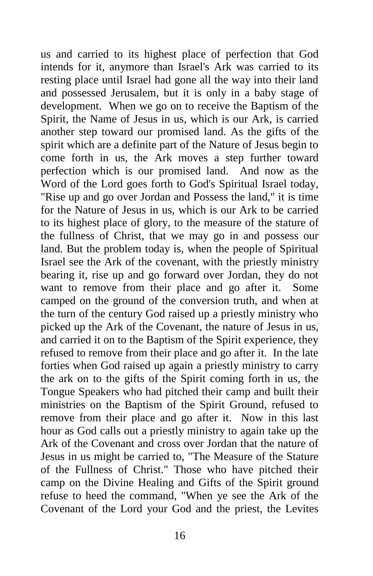us and carried to its highest place of perfection that God intends for it, anymore than Israel's Ark was carried to its resting place until Israel had gone all the way into their land and possessed Jerusalem, but it is only in a baby stage of development. When we go on to receive the Baptism of the Spirit, the Name of Jesus in us, which is our Ark, is carried another step toward our promised land. As the gifts of the spirit which are a definite part of the Nature of Jesus begin to come forth in us, the Ark moves a step further toward perfection which is our promised land. And now as the Word of the Lord goes forth to God's Spiritual Israel today, "Rise up and go over Jordan and Possess the land," it is time for the Nature of Jesus in us, which is our Ark to be carried to its highest place of glory, to the measure of the stature of the fullness of Christ, that we may go in and possess our land. But the problem today is, when the people of Spiritual Israel see the Ark of the covenant, with the priestly ministry bearing it, rise up and go forward over Jordan, they do not want to remove from their place and go after it. Some camped on the ground of the conversion truth, and when at the turn of the century God raised up a priestly ministry who picked up the Ark of the Covenant, the nature of Jesus in us, and carried it on to the Baptism of the Spirit experience, they refused to remove from their place and go after it. In the late forties when God raised up again a priestly ministry to carry the ark on to the gifts of the Spirit coming forth in us, the Tongue Speakers who had pitched their camp and built their ministries on the Baptism of the Spirit Ground, refused to remove from their place and go after it. Now in this last hour as God calls out a priestly ministry to again take up the Ark of the Covenant and cross over Jordan that the nature of Jesus in us might be carried to, "The Measure of the Stature of the Fullness of Christ." Those who have pitched their camp on the Divine Healing and Gifts of the Spirit ground refuse to heed the command, "When ye see the Ark of the Covenant of the Lord your God and the priest, the Levites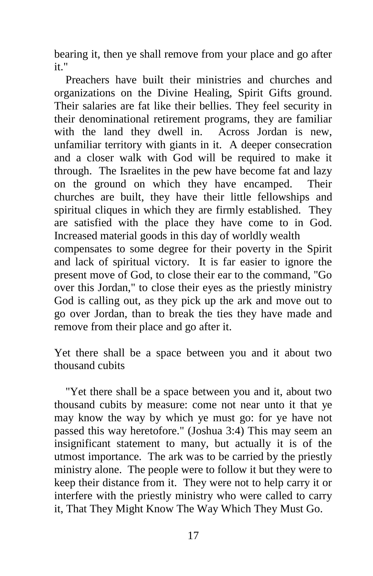bearing it, then ye shall remove from your place and go after it."

 Preachers have built their ministries and churches and organizations on the Divine Healing, Spirit Gifts ground. Their salaries are fat like their bellies. They feel security in their denominational retirement programs, they are familiar with the land they dwell in. Across Jordan is new, unfamiliar territory with giants in it. A deeper consecration and a closer walk with God will be required to make it through. The Israelites in the pew have become fat and lazy on the ground on which they have encamped. Their churches are built, they have their little fellowships and spiritual cliques in which they are firmly established. They are satisfied with the place they have come to in God. Increased material goods in this day of worldly wealth compensates to some degree for their poverty in the Spirit

and lack of spiritual victory. It is far easier to ignore the present move of God, to close their ear to the command, "Go over this Jordan," to close their eyes as the priestly ministry God is calling out, as they pick up the ark and move out to go over Jordan, than to break the ties they have made and remove from their place and go after it.

Yet there shall be a space between you and it about two thousand cubits

 "Yet there shall be a space between you and it, about two thousand cubits by measure: come not near unto it that ye may know the way by which ye must go: for ye have not passed this way heretofore." (Joshua 3:4) This may seem an insignificant statement to many, but actually it is of the utmost importance. The ark was to be carried by the priestly ministry alone. The people were to follow it but they were to keep their distance from it. They were not to help carry it or interfere with the priestly ministry who were called to carry it, That They Might Know The Way Which They Must Go.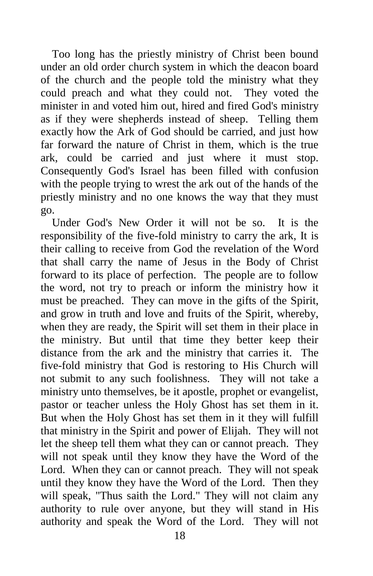Too long has the priestly ministry of Christ been bound under an old order church system in which the deacon board of the church and the people told the ministry what they could preach and what they could not. They voted the minister in and voted him out, hired and fired God's ministry as if they were shepherds instead of sheep. Telling them exactly how the Ark of God should be carried, and just how far forward the nature of Christ in them, which is the true ark, could be carried and just where it must stop. Consequently God's Israel has been filled with confusion with the people trying to wrest the ark out of the hands of the priestly ministry and no one knows the way that they must go.

 Under God's New Order it will not be so. It is the responsibility of the five-fold ministry to carry the ark, It is their calling to receive from God the revelation of the Word that shall carry the name of Jesus in the Body of Christ forward to its place of perfection. The people are to follow the word, not try to preach or inform the ministry how it must be preached. They can move in the gifts of the Spirit, and grow in truth and love and fruits of the Spirit, whereby, when they are ready, the Spirit will set them in their place in the ministry. But until that time they better keep their distance from the ark and the ministry that carries it. The five-fold ministry that God is restoring to His Church will not submit to any such foolishness. They will not take a ministry unto themselves, be it apostle, prophet or evangelist, pastor or teacher unless the Holy Ghost has set them in it. But when the Holy Ghost has set them in it they will fulfill that ministry in the Spirit and power of Elijah. They will not let the sheep tell them what they can or cannot preach. They will not speak until they know they have the Word of the Lord. When they can or cannot preach. They will not speak until they know they have the Word of the Lord. Then they will speak, "Thus saith the Lord." They will not claim any authority to rule over anyone, but they will stand in His authority and speak the Word of the Lord. They will not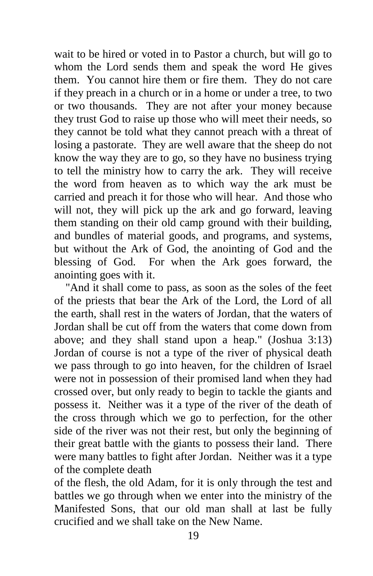wait to be hired or voted in to Pastor a church, but will go to whom the Lord sends them and speak the word He gives them. You cannot hire them or fire them. They do not care if they preach in a church or in a home or under a tree, to two or two thousands. They are not after your money because they trust God to raise up those who will meet their needs, so they cannot be told what they cannot preach with a threat of losing a pastorate. They are well aware that the sheep do not know the way they are to go, so they have no business trying to tell the ministry how to carry the ark. They will receive the word from heaven as to which way the ark must be carried and preach it for those who will hear. And those who will not, they will pick up the ark and go forward, leaving them standing on their old camp ground with their building, and bundles of material goods, and programs, and systems, but without the Ark of God, the anointing of God and the blessing of God. For when the Ark goes forward, the anointing goes with it.

 "And it shall come to pass, as soon as the soles of the feet of the priests that bear the Ark of the Lord, the Lord of all the earth, shall rest in the waters of Jordan, that the waters of Jordan shall be cut off from the waters that come down from above; and they shall stand upon a heap." (Joshua 3:13) Jordan of course is not a type of the river of physical death we pass through to go into heaven, for the children of Israel were not in possession of their promised land when they had crossed over, but only ready to begin to tackle the giants and possess it. Neither was it a type of the river of the death of the cross through which we go to perfection, for the other side of the river was not their rest, but only the beginning of their great battle with the giants to possess their land. There were many battles to fight after Jordan. Neither was it a type of the complete death

of the flesh, the old Adam, for it is only through the test and battles we go through when we enter into the ministry of the Manifested Sons, that our old man shall at last be fully crucified and we shall take on the New Name.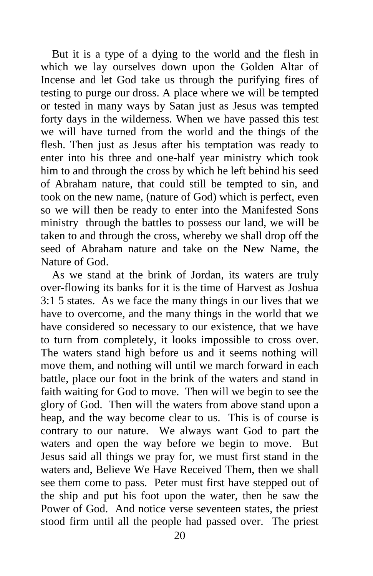But it is a type of a dying to the world and the flesh in which we lay ourselves down upon the Golden Altar of Incense and let God take us through the purifying fires of testing to purge our dross. A place where we will be tempted or tested in many ways by Satan just as Jesus was tempted forty days in the wilderness. When we have passed this test we will have turned from the world and the things of the flesh. Then just as Jesus after his temptation was ready to enter into his three and one-half year ministry which took him to and through the cross by which he left behind his seed of Abraham nature, that could still be tempted to sin, and took on the new name, (nature of God) which is perfect, even so we will then be ready to enter into the Manifested Sons ministry through the battles to possess our land, we will be taken to and through the cross, whereby we shall drop off the seed of Abraham nature and take on the New Name, the Nature of God.

 As we stand at the brink of Jordan, its waters are truly over-flowing its banks for it is the time of Harvest as Joshua 3:1 5 states. As we face the many things in our lives that we have to overcome, and the many things in the world that we have considered so necessary to our existence, that we have to turn from completely, it looks impossible to cross over. The waters stand high before us and it seems nothing will move them, and nothing will until we march forward in each battle, place our foot in the brink of the waters and stand in faith waiting for God to move. Then will we begin to see the glory of God. Then will the waters from above stand upon a heap, and the way become clear to us. This is of course is contrary to our nature. We always want God to part the waters and open the way before we begin to move. But Jesus said all things we pray for, we must first stand in the waters and, Believe We Have Received Them, then we shall see them come to pass. Peter must first have stepped out of the ship and put his foot upon the water, then he saw the Power of God. And notice verse seventeen states, the priest stood firm until all the people had passed over. The priest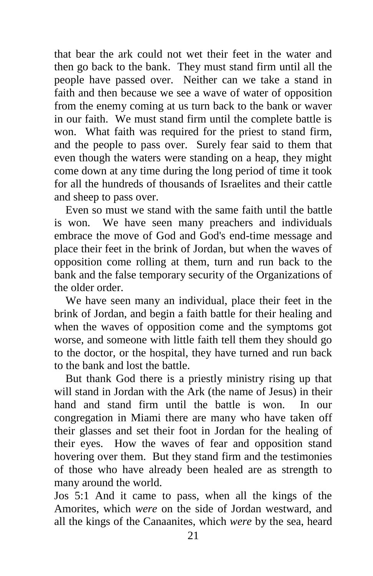that bear the ark could not wet their feet in the water and then go back to the bank. They must stand firm until all the people have passed over. Neither can we take a stand in faith and then because we see a wave of water of opposition from the enemy coming at us turn back to the bank or waver in our faith. We must stand firm until the complete battle is won. What faith was required for the priest to stand firm, and the people to pass over. Surely fear said to them that even though the waters were standing on a heap, they might come down at any time during the long period of time it took for all the hundreds of thousands of Israelites and their cattle and sheep to pass over.

 Even so must we stand with the same faith until the battle is won. We have seen many preachers and individuals embrace the move of God and God's end-time message and place their feet in the brink of Jordan, but when the waves of opposition come rolling at them, turn and run back to the bank and the false temporary security of the Organizations of the older order.

 We have seen many an individual, place their feet in the brink of Jordan, and begin a faith battle for their healing and when the waves of opposition come and the symptoms got worse, and someone with little faith tell them they should go to the doctor, or the hospital, they have turned and run back to the bank and lost the battle.

 But thank God there is a priestly ministry rising up that will stand in Jordan with the Ark (the name of Jesus) in their hand and stand firm until the battle is won. In our congregation in Miami there are many who have taken off their glasses and set their foot in Jordan for the healing of their eyes. How the waves of fear and opposition stand hovering over them. But they stand firm and the testimonies of those who have already been healed are as strength to many around the world.

Jos 5:1 And it came to pass, when all the kings of the Amorites, which *were* on the side of Jordan westward, and all the kings of the Canaanites, which *were* by the sea, heard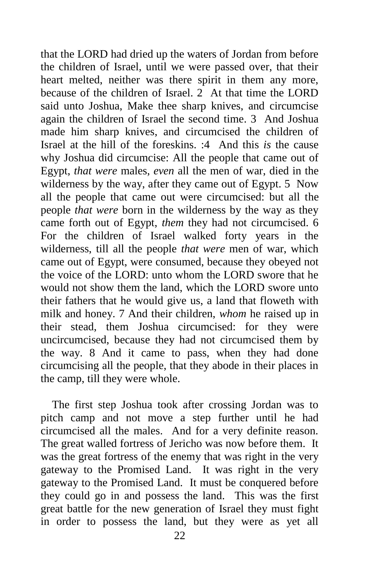that the LORD had dried up the waters of Jordan from before the children of Israel, until we were passed over, that their heart melted, neither was there spirit in them any more, because of the children of Israel. 2 At that time the LORD said unto Joshua, Make thee sharp knives, and circumcise again the children of Israel the second time. 3 And Joshua made him sharp knives, and circumcised the children of Israel at the hill of the foreskins. :4 And this *is* the cause why Joshua did circumcise: All the people that came out of Egypt, *that were* males, *even* all the men of war, died in the wilderness by the way, after they came out of Egypt. 5 Now all the people that came out were circumcised: but all the people *that were* born in the wilderness by the way as they came forth out of Egypt, *them* they had not circumcised. 6 For the children of Israel walked forty years in the wilderness, till all the people *that were* men of war, which came out of Egypt, were consumed, because they obeyed not the voice of the LORD: unto whom the LORD swore that he would not show them the land, which the LORD swore unto their fathers that he would give us, a land that floweth with milk and honey. 7 And their children, *whom* he raised up in their stead, them Joshua circumcised: for they were uncircumcised, because they had not circumcised them by the way. 8 And it came to pass, when they had done circumcising all the people, that they abode in their places in the camp, till they were whole.

 The first step Joshua took after crossing Jordan was to pitch camp and not move a step further until he had circumcised all the males. And for a very definite reason. The great walled fortress of Jericho was now before them. It was the great fortress of the enemy that was right in the very gateway to the Promised Land. It was right in the very gateway to the Promised Land. It must be conquered before they could go in and possess the land. This was the first great battle for the new generation of Israel they must fight in order to possess the land, but they were as yet all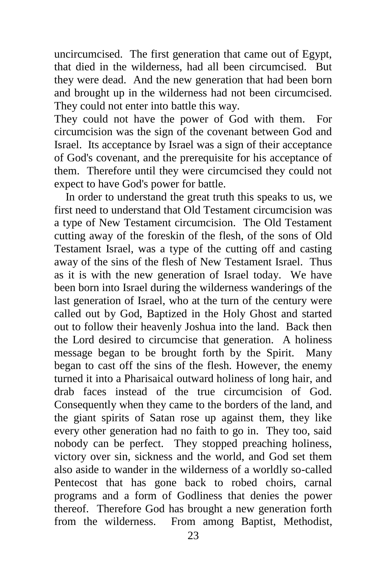uncircumcised. The first generation that came out of Egypt, that died in the wilderness, had all been circumcised. But they were dead. And the new generation that had been born and brought up in the wilderness had not been circumcised. They could not enter into battle this way.

They could not have the power of God with them. For circumcision was the sign of the covenant between God and Israel. Its acceptance by Israel was a sign of their acceptance of God's covenant, and the prerequisite for his acceptance of them. Therefore until they were circumcised they could not expect to have God's power for battle.

 In order to understand the great truth this speaks to us, we first need to understand that Old Testament circumcision was a type of New Testament circumcision. The Old Testament cutting away of the foreskin of the flesh, of the sons of Old Testament Israel, was a type of the cutting off and casting away of the sins of the flesh of New Testament Israel. Thus as it is with the new generation of Israel today. We have been born into Israel during the wilderness wanderings of the last generation of Israel, who at the turn of the century were called out by God, Baptized in the Holy Ghost and started out to follow their heavenly Joshua into the land. Back then the Lord desired to circumcise that generation. A holiness message began to be brought forth by the Spirit. Many began to cast off the sins of the flesh. However, the enemy turned it into a Pharisaical outward holiness of long hair, and drab faces instead of the true circumcision of God. Consequently when they came to the borders of the land, and the giant spirits of Satan rose up against them, they like every other generation had no faith to go in. They too, said nobody can be perfect. They stopped preaching holiness, victory over sin, sickness and the world, and God set them also aside to wander in the wilderness of a worldly so-called Pentecost that has gone back to robed choirs, carnal programs and a form of Godliness that denies the power thereof. Therefore God has brought a new generation forth from the wilderness. From among Baptist, Methodist,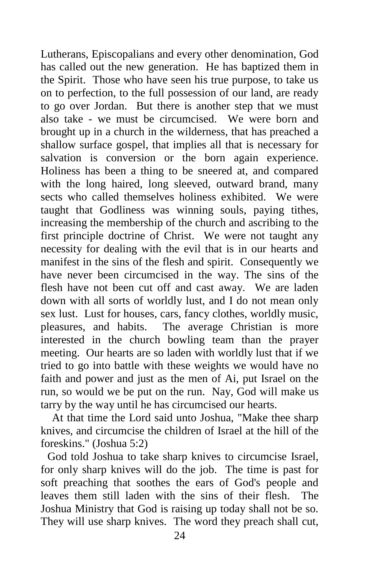Lutherans, Episcopalians and every other denomination, God has called out the new generation. He has baptized them in the Spirit. Those who have seen his true purpose, to take us on to perfection, to the full possession of our land, are ready to go over Jordan. But there is another step that we must also take - we must be circumcised. We were born and brought up in a church in the wilderness, that has preached a shallow surface gospel, that implies all that is necessary for salvation is conversion or the born again experience. Holiness has been a thing to be sneered at, and compared with the long haired, long sleeved, outward brand, many sects who called themselves holiness exhibited. We were taught that Godliness was winning souls, paying tithes, increasing the membership of the church and ascribing to the first principle doctrine of Christ. We were not taught any necessity for dealing with the evil that is in our hearts and manifest in the sins of the flesh and spirit. Consequently we have never been circumcised in the way. The sins of the flesh have not been cut off and cast away. We are laden down with all sorts of worldly lust, and I do not mean only sex lust. Lust for houses, cars, fancy clothes, worldly music, pleasures, and habits. The average Christian is more interested in the church bowling team than the prayer meeting. Our hearts are so laden with worldly lust that if we tried to go into battle with these weights we would have no faith and power and just as the men of Ai, put Israel on the run, so would we be put on the run. Nay, God will make us tarry by the way until he has circumcised our hearts.

 At that time the Lord said unto Joshua, "Make thee sharp knives, and circumcise the children of Israel at the hill of the foreskins." (Joshua 5:2)

God told Joshua to take sharp knives to circumcise Israel, for only sharp knives will do the job. The time is past for soft preaching that soothes the ears of God's people and leaves them still laden with the sins of their flesh. The Joshua Ministry that God is raising up today shall not be so. They will use sharp knives. The word they preach shall cut,